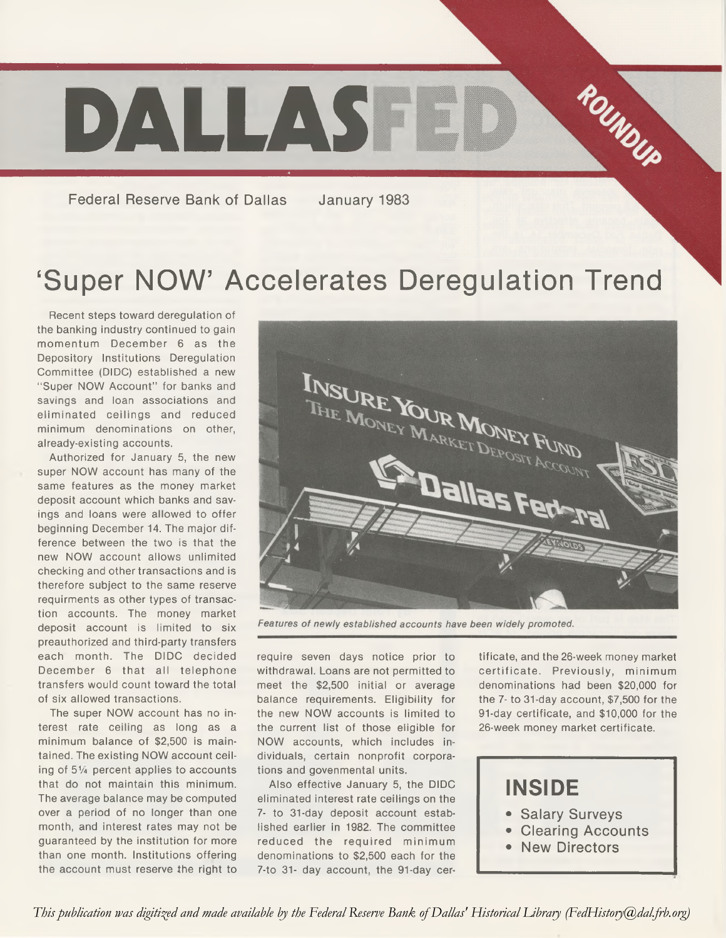

**Federal Reserve Bank of Dallas January 1983**

# 'Super NOW' Accelerates Deregulation Trend

Recent steps toward deregulation of the banking industry continued to gain momentum December 6 as the Depository Institutions Deregulation Committee (DIDC) established a new "Super NOW Account" for banks and savings and loan associations and eliminated ceilings and reduced minimum denominations on other, already-existing accounts.

Authorized for January 5, the new super NOW account has many of the same features as the money market deposit account which banks and savings and loans were allowed to offer beginning December 14. The major difference between the two is that the new NOW account allows unlimited checking and other transactions and is therefore subject to the same reserve requirments as other types of transaction accounts. The money market deposit account is limited to six preauthorized and third-party transfers each month. The DIDC decided December 6 that all telephone transfers would count toward the total of six allowed transactions.

The super NOW account has no interest rate ceiling as long as a minimum balance of \$2,500 is maintained. The existing NOW account ceiling of 51/4 percent applies to accounts that do not maintain this minimum. The average balance may be computed over a period of no longer than one month, and interest rates may not be guaranteed by the institution for more than one month. Institutions offering the account must reserve the right to



Features of newly established accounts have been widely promoted.

require seven days notice prior to withdrawal. Loans are not permitted to meet the \$2,500 initial or average balance requirements. Eligibility for the new NOW accounts is limited to the current list of those eligible for NOW accounts, which includes individuals, certain nonprofit corporations and govenmental units.

Also effective January 5, the DIDC eliminated interest rate ceilings on the 7- to 31-day deposit account established earlier in 1982. The committee reduced the required minimum denominations to \$2,500 each for the 7-to 31- day account, the 91-day cer-

tificate, and the 26-week money market certificate. Previously, minimum denominations had been \$20,000 for the 7- to 31-day account, \$7,500 for the 91-day certificate, and \$10,000 for the 26-week money market certificate.



*This publication was digitized and made available by the Federal Reserve Bank of Dallas' Historical Library (FedHistory@dal.frb.org)*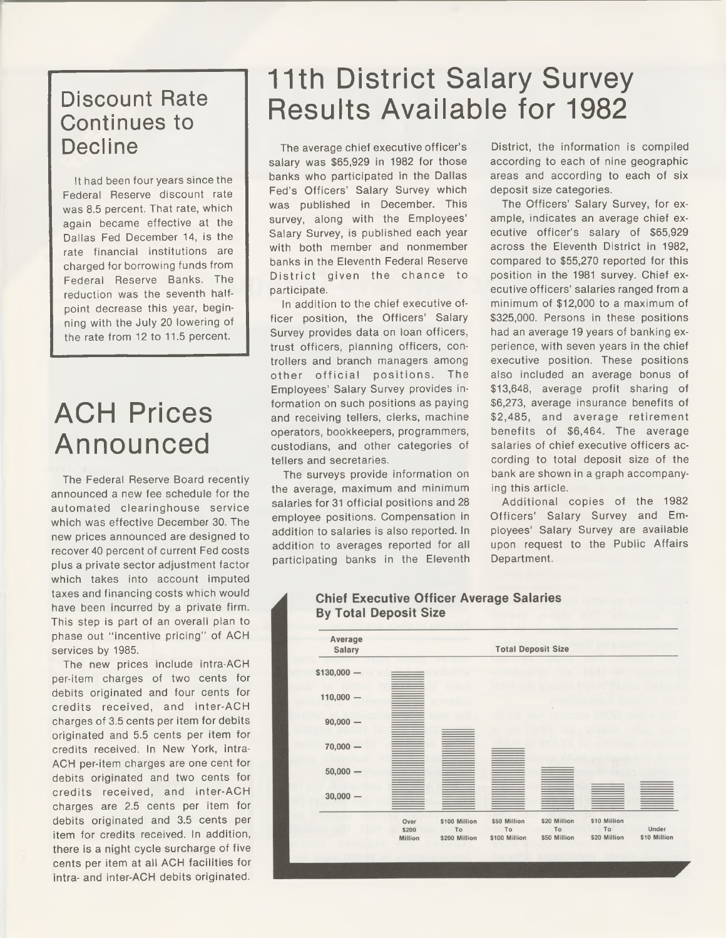### Discount Rate Continues to Decline

It had been four years since the Federal Reserve discount rate was 8.5 percent. That rate, which again became effective at the Dallas Fed December 14, is the rate financial institutions are charged for borrowing funds from Federal Reserve Banks. The reduction was the seventh halfpoint decrease this year, beginning with the July 20 lowering of the rate from 12 to 11.5 percent.

# ACH Prices Announced

The Federal Reserve Board recently announced a new fee schedule for the automated clearinghouse service which was effective December 30. The new prices announced are designed to recover 40 percent of current Fed costs plus a private sector adjustment factor which takes into account imputed taxes and financing costs which would have been incurred by a private firm. This step is part of an overall plan to phase out "incentive pricing" of ACH services by 1985.

The new prices include intra-ACH per-item charges of two cents for debits originated and four cents for credits received, and inter-ACH charges of 3.5 cents per item for debits originated and 5.5 cents per item for credits received. In New York, intra-ACH per-item charges are one cent for debits originated and two cents for credits received, and inter-ACH charges are 2.5 cents per item for debits originated and 3.5 cents per item for credits received. In addition, there is a night cycle surcharge of five cents per item at all ACH facilities for intra- and inter-ACH debits originated.

## 11th District Salary Survey Results Available for 1982

The average chief executive officer's salary was \$65,929 in 1982 for those banks who participated in the Dallas Fed's Officers' Salary Survey which was published in December. This survey, along with the Employees' Salary Survey, is published each year with both member and nonmember banks in the Eleventh Federal Reserve District given the chance to participate.

In addition to the chief executive officer position, the Officers' Salary Survey provides data on loan officers, trust officers, planning officers, controllers and branch managers among other official positions. The Employees' Salary Survey provides information on such positions as paying and receiving tellers, clerks, machine operators, bookkeepers, programmers, custodians, and other categories of tellers and secretaries.

The surveys provide information on the average, maximum and minimum salaries for 31 official positions and 28 employee positions. Compensation in addition to salaries is also reported. In addition to averages reported for all participating banks in the Eleventh

District, the information is compiled according to each of nine geographic areas and according to each of six deposit size categories.

The Officers' Salary Survey, for example, indicates an average chief executive officer's salary of \$65,929 across the Eleventh District in 1982, compared to \$55,270 reported for this position in the 1981 survey. Chief executive officers' salaries ranged from a minimum of \$12,000 to a maximum of \$325,000. Persons in these positions had an average 19 years of banking experience, with seven years in the chief executive position. These positions also included an average bonus of \$13,648, average profit sharing of \$6,273, average insurance benefits of \$2,485, and average retirement benefits of \$6,464. The average salaries of chief executive officers according to total deposit size of the bank are shown in a graph accompanying this article.

Additional copies of the 1982 Officers' Salary Survey and Employees' Salary Survey are available upon request to the Public Affairs Department.



#### **Chief Executive Officer Average Salaries By Total Deposit Size**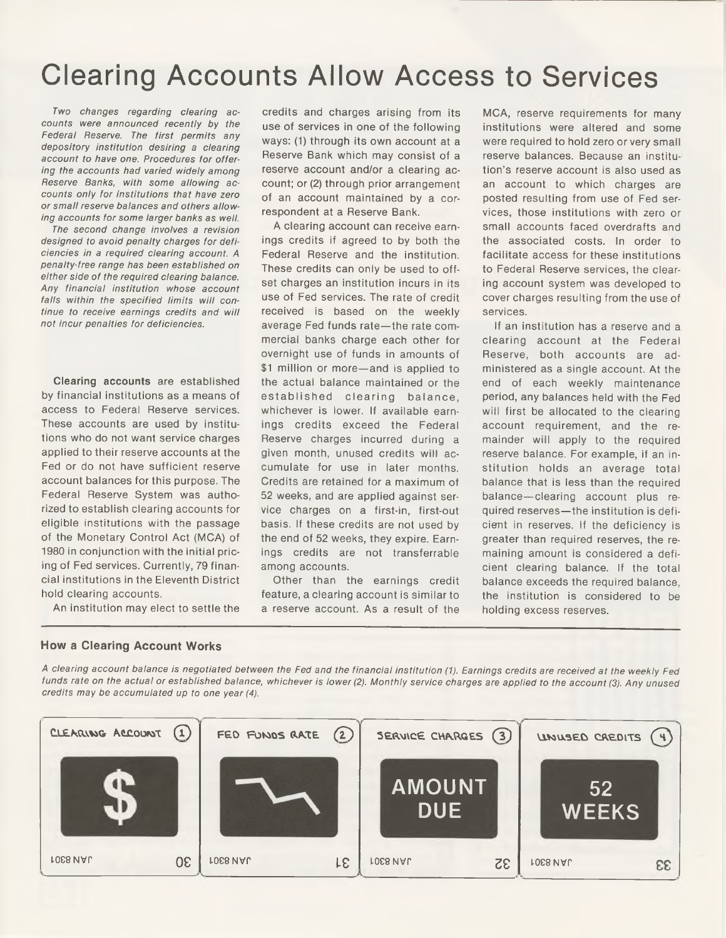## Clearing Accounts Allow Access to Services

7wo *changes regarding clearing accounts were announced recently by the Federal Reserve. The first permits any depository institution desiring a clearing account to have one. Procedures for offering the accounts had varied widely among Reserve Banks, with some allowing accounts only for institutions that have zero or small reserve balances and others allowing accounts for some larger banks as well.*

*The second change involves a revision designed to avoid penalty charges for deficiencies in a required clearing account. A penalty-free range has been established on either side of the required clearing balance. Any financial institution whose account falls within the specified limits will continue to receive earnings credits and will not incur penalties for deficiencies.*

Clearing accounts are established by financial institutions as a means of access to Federal Reserve services. These accounts are used by institutions who do not want service charges applied to their reserve accounts at the Fed or do not have sufficient reserve account balances for this purpose. The Federal Reserve System was authorized to establish clearing accounts for eligible institutions with the passage of the Monetary Control Act (MCA) of 1980 in conjunction with the initial pricing of Fed services. Currently, 79 financial institutions in the Eleventh District hold clearing accounts.

An institution may elect to settle the

credits and charges arising from its use of services in one of the following ways: (1) through its own account at a Reserve Bank which may consist of a reserve account and/or a clearing account; or (2) through prior arrangement of an account maintained by a correspondent at a Reserve Bank.

A clearing account can receive earnings credits if agreed to by both the Federal Reserve and the institution. These credits can only be used to offset charges an institution incurs in its use of Fed services. The rate of credit received is based on the weekly average Fed funds rate—the rate commercial banks charge each other for overnight use of funds in amounts of \$1 million or more—and is applied to the actual balance maintained or the established clearing balance, whichever is lower. If available earnings credits exceed the Federal Reserve charges incurred during a given month, unused credits will accumulate for use in later months. Credits are retained for a maximum of 52 weeks, and are applied against service charges on a first-in, first-out basis. If these credits are not used by the end of 52 weeks, they expire. Earnings credits are not transferrable among accounts.

Other than the earnings credit feature, a clearing account is similar to a reserve account. As a result of the

MCA, reserve requirements for many institutions were altered and some were required to hold zero or very small reserve balances. Because an institution's reserve account is also used as an account to which charges are posted resulting from use of Fed services, those institutions with zero or small accounts faced overdrafts and the associated costs. In order to facilitate access for these institutions to Federal Reserve services, the clearing account system was developed to cover charges resulting from the use of services.

If an institution has a reserve and a clearing account at the Federal Reserve, both accounts are administered as a single account. At the end of each weekly maintenance period, any balances held with the Fed will first be allocated to the clearing account requirement, and the remainder will apply to the required reserve balance. For example, if an institution holds an average total balance that is less than the required balance—clearing account plus required reserves—the institution is deficient in reserves. If the deficiency is greater than required reserves, the remaining amount is considered a deficient clearing balance. If the total balance exceeds the required balance, the institution is considered to be holding excess reserves.

#### **How a Clearing Account Works**

*A clearing account balance is negotiated between the Fed and the financial institution (1). Earnings credits are received at the weekly Fed funds rate on the actual or established balance, whichever is lower (2). Monthly service charges are applied to the account (3). Any unused credits may be accumulated up to one year (4).*